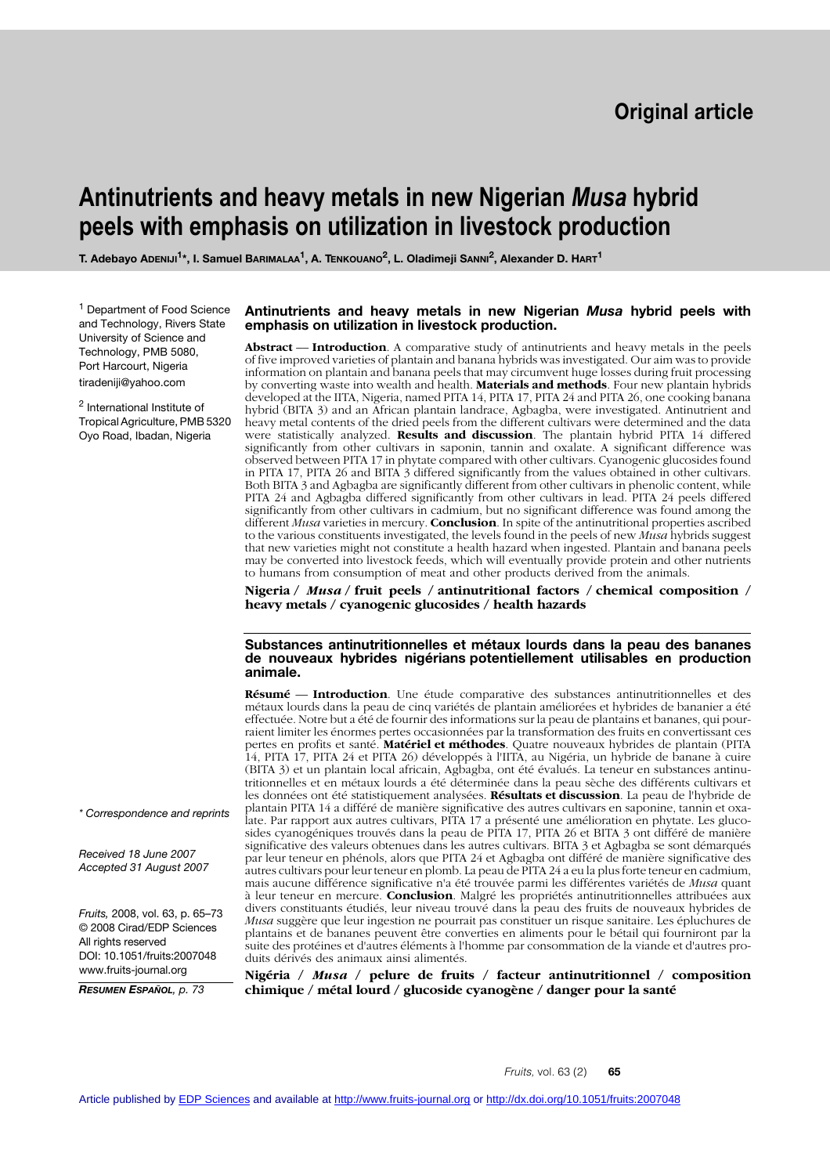# **Antinutrients and heavy metals in new Nigerian** *Musa* **hybrid peels with emphasis on utilization in livestock production**

**T. Adebayo ADENIJI1\*, I. Samuel BARIMALAA1, A. TENKOUANO2, L. Oladimeji SANNI2, Alexander D. HART1**

<sup>1</sup> Department of Food Science and Technology, Rivers State University of Science and Technology, PMB 5080, Port Harcourt, Nigeria tiradeniji@yahoo.com

<sup>2</sup> International Institute of Tropical Agriculture, PMB 5320 Oyo Road, Ibadan, Nigeria

### **Antinutrients and heavy metals in new Nigerian** *Musa* **hybrid peels with emphasis on utilization in livestock production.**

**Abstract** –– **Introduction**. A comparative study of antinutrients and heavy metals in the peels of five improved varieties of plantain and banana hybrids was investigated. Our aim was to provide information on plantain and banana peels that may circumvent huge losses during fruit processing by converting waste into wealth and health. **Materials and methods**. Four new plantain hybrids developed at the IITA, Nigeria, named PITA 14, PITA 17, PITA 24 and PITA 26, one cooking banana hybrid (BITA 3) and an African plantain landrace, Agbagba, were investigated. Antinutrient and heavy metal contents of the dried peels from the different cultivars were determined and the data were statistically analyzed. **Results and discussion**. The plantain hybrid PITA 14 differed significantly from other cultivars in saponin, tannin and oxalate. A significant difference was observed between PITA 17 in phytate compared with other cultivars. Cyanogenic glucosides found in PITA 17, PITA 26 and BITA 3 differed significantly from the values obtained in other cultivars. Both BITA 3 and Agbagba are significantly different from other cultivars in phenolic content, while PITA 24 and Agbagba differed significantly from other cultivars in lead. PITA 24 peels differed significantly from other cultivars in cadmium, but no significant difference was found among the different *Musa* varieties in mercury. **Conclusion**. In spite of the antinutritional properties ascribed to the various constituents investigated, the levels found in the peels of new *Musa* hybrids suggest that new varieties might not constitute a health hazard when ingested. Plantain and banana peels may be converted into livestock feeds, which will eventually provide protein and other nutrients to humans from consumption of meat and other products derived from the animals.

**Nigeria /** *Musa* **/ fruit peels / antinutritional factors / chemical composition / heavy metals / cyanogenic glucosides / health hazards**

#### **Substances antinutritionnelles et métaux lourds dans la peau des bananes de nouveaux hybrides nigérians potentiellement utilisables en production animale.**

**Résumé** –– **Introduction**. Une étude comparative des substances antinutritionnelles et des métaux lourds dans la peau de cinq variétés de plantain améliorées et hybrides de bananier a été effectuée. Notre but a été de fournir des informations sur la peau de plantains et bananes, qui pourraient limiter les énormes pertes occasionnées par la transformation des fruits en convertissant ces pertes en profits et santé. **Matériel et méthodes**. Quatre nouveaux hybrides de plantain (PITA 14, PITA 17, PITA 24 et PITA 26) développés à l'IITA, au Nigéria, un hybride de banane à cuire (BITA 3) et un plantain local africain, Agbagba, ont été évalués. La teneur en substances antinutritionnelles et en métaux lourds a été déterminée dans la peau sèche des différents cultivars et les données ont été statistiquement analysées. **Résultats et discussion**. La peau de l'hybride de plantain PITA 14 a différé de manière significative des autres cultivars en saponine, tannin et oxalate. Par rapport aux autres cultivars, PITA 17 a présenté une amélioration en phytate. Les glucosides cyanogéniques trouvés dans la peau de PITA 17, PITA 26 et BITA 3 ont différé de manière significative des valeurs obtenues dans les autres cultivars. BITA 3 et Agbagba se sont démarqués par leur teneur en phénols, alors que PITA 24 et Agbagba ont différé de manière significative des autres cultivars pour leur teneur en plomb. La peau de PITA 24 a eu la plus forte teneur en cadmium, mais aucune différence significative n'a été trouvée parmi les différentes variétés de *Musa* quant à leur teneur en mercure. **Conclusion**. Malgré les propriétés antinutritionnelles attribuées aux divers constituants étudiés, leur niveau trouvé dans la peau des fruits de nouveaux hybrides de *Musa* suggère que leur ingestion ne pourrait pas constituer un risque sanitaire. Les épluchures de plantains et de bananes peuvent être converties en aliments pour le bétail qui fourniront par la suite des protéines et d'autres éléments à l'homme par consommation de la viande et d'autres produits dérivés des animaux ainsi alimentés.

**Nigéria /** *Musa* **/ pelure de fruits / facteur antinutritionnel / composition chimique / métal lourd / glucoside cyanogène / danger pour la santé**

*\* Correspondence and reprints*

*Received 18 June 2007 Accepted 31 August 2007*

*Fruits,* 2008, vol. 63, p. 65–73 © 2008 Cirad/EDP Sciences All rights reserved DOI: 10.1051/fruits:2007048 www.fruits-journal.org

*RESUMEN ESPAÑOL, p. 73*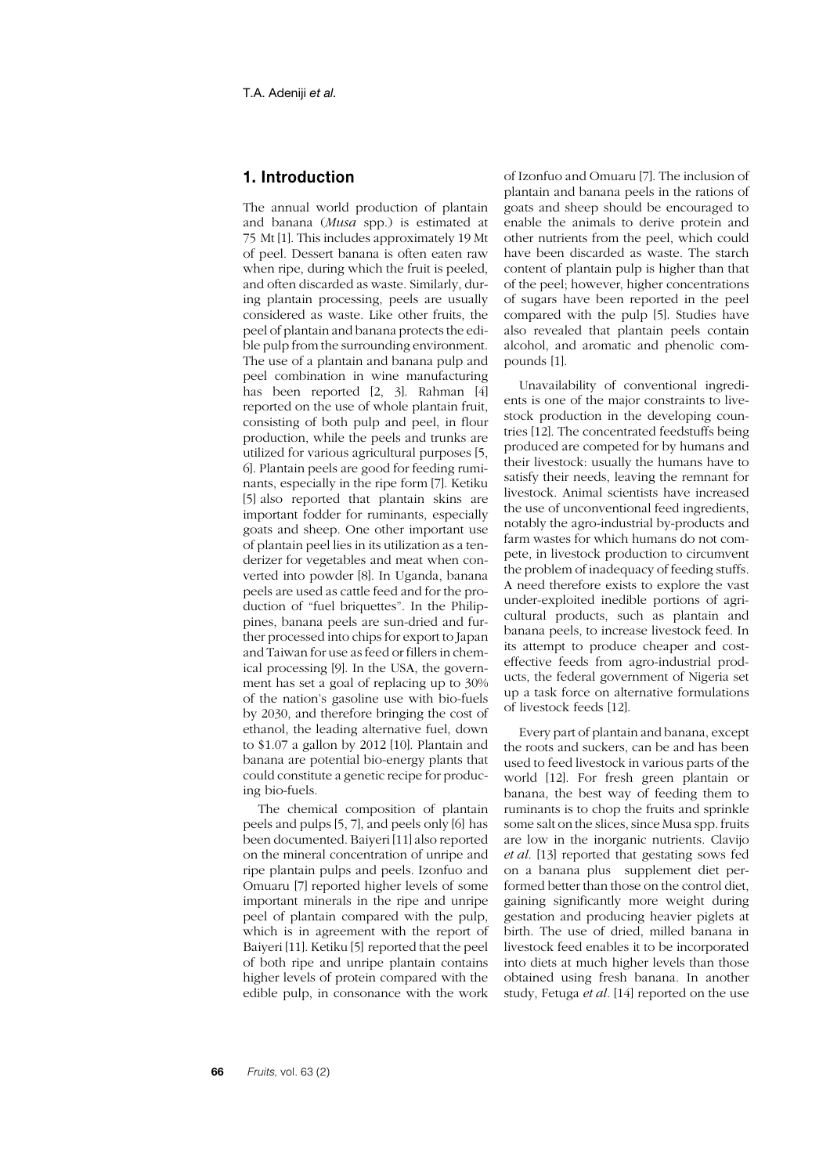# **1. Introduction**

The annual world production of plantain and banana (*Musa* spp.) is estimated at 75 Mt [1]. This includes approximately 19 Mt of peel. Dessert banana is often eaten raw when ripe, during which the fruit is peeled, and often discarded as waste. Similarly, during plantain processing, peels are usually considered as waste. Like other fruits, the peel of plantain and banana protects the edible pulp from the surrounding environment. The use of a plantain and banana pulp and peel combination in wine manufacturing has been reported [2, 3]. Rahman [4] reported on the use of whole plantain fruit, consisting of both pulp and peel, in flour production, while the peels and trunks are utilized for various agricultural purposes [5, 6]. Plantain peels are good for feeding ruminants, especially in the ripe form [7]. Ketiku [5] also reported that plantain skins are important fodder for ruminants, especially goats and sheep. One other important use of plantain peel lies in its utilization as a tenderizer for vegetables and meat when converted into powder [8]. In Uganda, banana peels are used as cattle feed and for the production of "fuel briquettes". In the Philippines, banana peels are sun-dried and further processed into chips for export to Japan and Taiwan for use as feed or fillers in chemical processing [9]. In the USA, the government has set a goal of replacing up to 30% of the nation's gasoline use with bio-fuels by 2030, and therefore bringing the cost of ethanol, the leading alternative fuel, down to \$1.07 a gallon by 2012 [10]. Plantain and banana are potential bio-energy plants that could constitute a genetic recipe for producing bio-fuels.

The chemical composition of plantain peels and pulps [5, 7], and peels only [6] has been documented. Baiyeri [11] also reported on the mineral concentration of unripe and ripe plantain pulps and peels. Izonfuo and Omuaru [7] reported higher levels of some important minerals in the ripe and unripe peel of plantain compared with the pulp, which is in agreement with the report of Baiyeri [11]. Ketiku [5] reported that the peel of both ripe and unripe plantain contains higher levels of protein compared with the edible pulp, in consonance with the work

of Izonfuo and Omuaru [7]. The inclusion of plantain and banana peels in the rations of goats and sheep should be encouraged to enable the animals to derive protein and other nutrients from the peel, which could have been discarded as waste. The starch content of plantain pulp is higher than that of the peel; however, higher concentrations of sugars have been reported in the peel compared with the pulp [5]. Studies have also revealed that plantain peels contain alcohol, and aromatic and phenolic compounds [1].

Unavailability of conventional ingredients is one of the major constraints to livestock production in the developing countries [12]. The concentrated feedstuffs being produced are competed for by humans and their livestock: usually the humans have to satisfy their needs, leaving the remnant for livestock. Animal scientists have increased the use of unconventional feed ingredients, notably the agro-industrial by-products and farm wastes for which humans do not compete, in livestock production to circumvent the problem of inadequacy of feeding stuffs. A need therefore exists to explore the vast under-exploited inedible portions of agricultural products, such as plantain and banana peels, to increase livestock feed. In its attempt to produce cheaper and costeffective feeds from agro-industrial products, the federal government of Nigeria set up a task force on alternative formulations of livestock feeds [12].

Every part of plantain and banana, except the roots and suckers, can be and has been used to feed livestock in various parts of the world [12]. For fresh green plantain or banana, the best way of feeding them to ruminants is to chop the fruits and sprinkle some salt on the slices, since Musa spp. fruits are low in the inorganic nutrients. Clavijo *et al.* [13] reported that gestating sows fed on a banana plus supplement diet performed better than those on the control diet, gaining significantly more weight during gestation and producing heavier piglets at birth. The use of dried, milled banana in livestock feed enables it to be incorporated into diets at much higher levels than those obtained using fresh banana. In another study, Fetuga *et al.* [14] reported on the use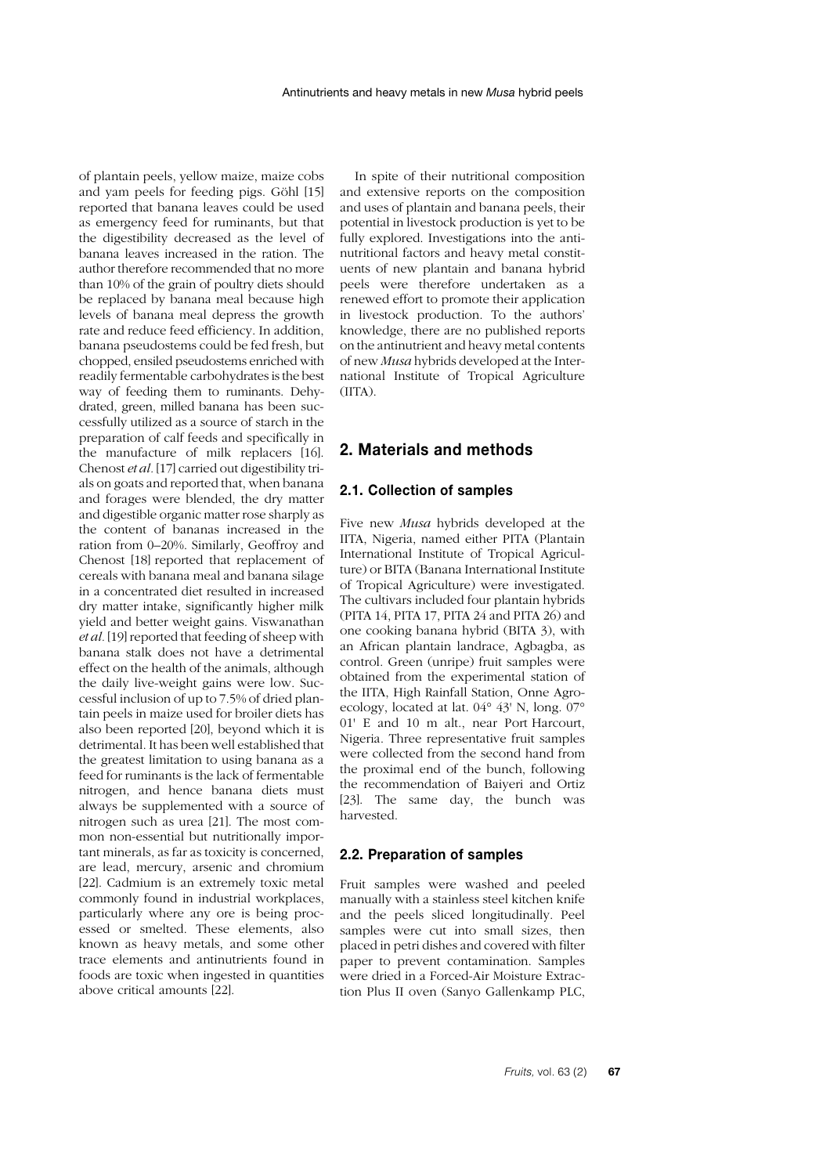of plantain peels, yellow maize, maize cobs and yam peels for feeding pigs. Göhl [15] reported that banana leaves could be used as emergency feed for ruminants, but that the digestibility decreased as the level of banana leaves increased in the ration. The author therefore recommended that no more than 10% of the grain of poultry diets should be replaced by banana meal because high levels of banana meal depress the growth rate and reduce feed efficiency. In addition, banana pseudostems could be fed fresh, but chopped, ensiled pseudostems enriched with readily fermentable carbohydrates is the best way of feeding them to ruminants. Dehydrated, green, milled banana has been successfully utilized as a source of starch in the preparation of calf feeds and specifically in the manufacture of milk replacers [16]. Chenost *et al.* [17] carried out digestibility trials on goats and reported that, when banana and forages were blended, the dry matter and digestible organic matter rose sharply as the content of bananas increased in the ration from 0–20%. Similarly, Geoffroy and Chenost [18] reported that replacement of cereals with banana meal and banana silage in a concentrated diet resulted in increased dry matter intake, significantly higher milk yield and better weight gains. Viswanathan *et al.* [19] reported that feeding of sheep with banana stalk does not have a detrimental effect on the health of the animals, although the daily live-weight gains were low. Successful inclusion of up to 7.5% of dried plantain peels in maize used for broiler diets has also been reported [20], beyond which it is detrimental. It has been well established that the greatest limitation to using banana as a feed for ruminants is the lack of fermentable nitrogen, and hence banana diets must always be supplemented with a source of nitrogen such as urea [21]. The most common non-essential but nutritionally important minerals, as far as toxicity is concerned, are lead, mercury, arsenic and chromium [22]. Cadmium is an extremely toxic metal commonly found in industrial workplaces, particularly where any ore is being processed or smelted. These elements, also known as heavy metals, and some other trace elements and antinutrients found in foods are toxic when ingested in quantities above critical amounts [22].

In spite of their nutritional composition and extensive reports on the composition and uses of plantain and banana peels, their potential in livestock production is yet to be fully explored. Investigations into the antinutritional factors and heavy metal constituents of new plantain and banana hybrid peels were therefore undertaken as a renewed effort to promote their application in livestock production. To the authors' knowledge, there are no published reports on the antinutrient and heavy metal contents of new *Musa* hybrids developed at the International Institute of Tropical Agriculture (IITA).

## **2. Materials and methods**

### **2.1. Collection of samples**

Five new *Musa* hybrids developed at the IITA, Nigeria, named either PITA (Plantain International Institute of Tropical Agriculture) or BITA (Banana International Institute of Tropical Agriculture) were investigated. The cultivars included four plantain hybrids (PITA 14, PITA 17, PITA 24 and PITA 26) and one cooking banana hybrid (BITA 3), with an African plantain landrace, Agbagba, as control. Green (unripe) fruit samples were obtained from the experimental station of the IITA, High Rainfall Station, Onne Agroecology, located at lat. 04° 43' N, long. 07° 01' E and 10 m alt., near Port Harcourt, Nigeria. Three representative fruit samples were collected from the second hand from the proximal end of the bunch, following the recommendation of Baiyeri and Ortiz [23]. The same day, the bunch was harvested.

### **2.2. Preparation of samples**

Fruit samples were washed and peeled manually with a stainless steel kitchen knife and the peels sliced longitudinally. Peel samples were cut into small sizes, then placed in petri dishes and covered with filter paper to prevent contamination. Samples were dried in a Forced-Air Moisture Extraction Plus II oven (Sanyo Gallenkamp PLC,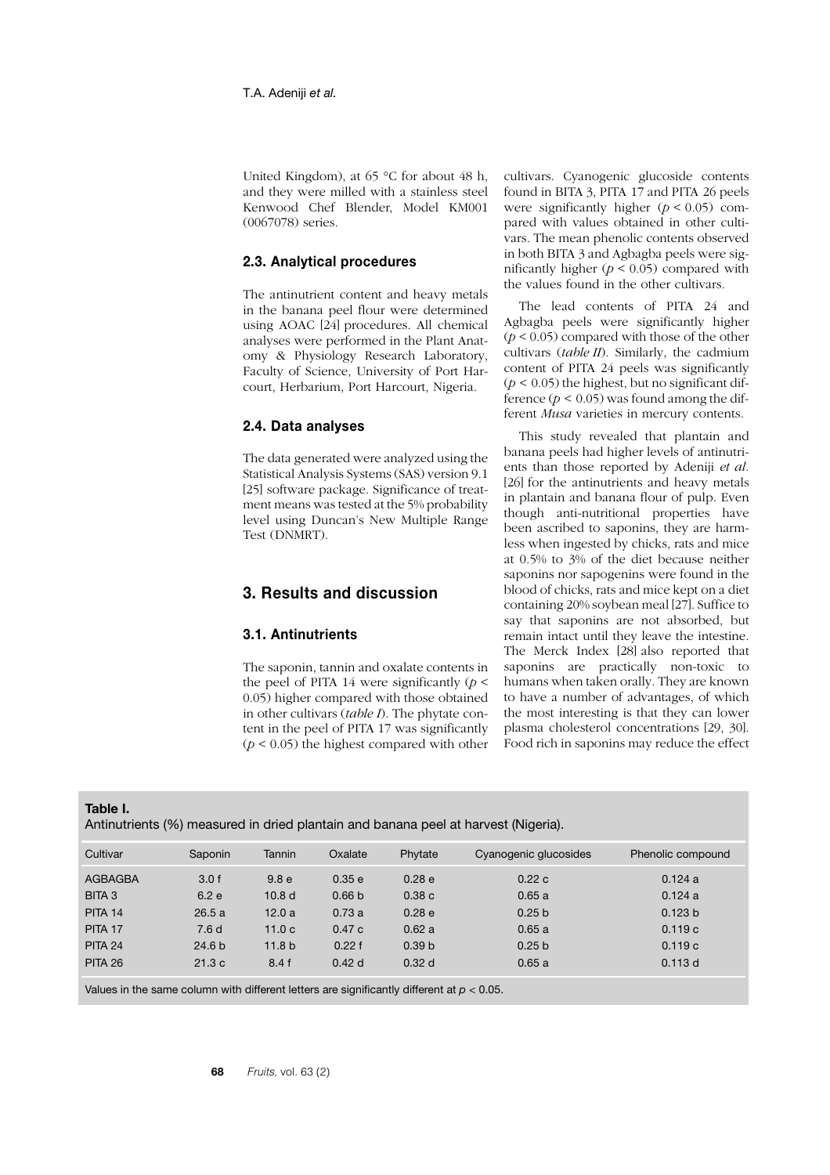United Kingdom), at 65 °C for about 48 h, and they were milled with a stainless steel Kenwood Chef Blender, Model KM001 (0067078) series.

### **2.3. Analytical procedures**

The antinutrient content and heavy metals in the banana peel flour were determined using AOAC [24] procedures. All chemical analyses were performed in the Plant Anatomy & Physiology Research Laboratory, Faculty of Science, University of Port Harcourt, Herbarium, Port Harcourt, Nigeria.

### **2.4. Data analyses**

The data generated were analyzed using the Statistical Analysis Systems (SAS) version 9.1 [25] software package. Significance of treatment means was tested at the 5% probability level using Duncan's New Multiple Range Test (DNMRT).

# **3. Results and discussion**

### **3.1. Antinutrients**

The saponin, tannin and oxalate contents in the peel of PITA 14 were significantly  $(p <$ 0.05) higher compared with those obtained in other cultivars (*table I*). The phytate content in the peel of PITA 17 was significantly  $(p < 0.05)$  the highest compared with other cultivars. Cyanogenic glucoside contents found in BITA 3, PITA 17 and PITA 26 peels were significantly higher  $(p < 0.05)$  compared with values obtained in other cultivars. The mean phenolic contents observed in both BITA 3 and Agbagba peels were significantly higher  $(p < 0.05)$  compared with the values found in the other cultivars.

The lead contents of PITA 24 and Agbagba peels were significantly higher  $(p < 0.05)$  compared with those of the other cultivars (*table II*). Similarly, the cadmium content of PITA 24 peels was significantly  $(p < 0.05)$  the highest, but no significant difference  $(p < 0.05)$  was found among the different *Musa* varieties in mercury contents.

This study revealed that plantain and banana peels had higher levels of antinutrients than those reported by Adeniji *et al.* [26] for the antinutrients and heavy metals in plantain and banana flour of pulp. Even though anti-nutritional properties have been ascribed to saponins, they are harmless when ingested by chicks, rats and mice at 0.5% to 3% of the diet because neither saponins nor sapogenins were found in the blood of chicks, rats and mice kept on a diet containing 20% soybean meal [27]. Suffice to say that saponins are not absorbed, but remain intact until they leave the intestine. The Merck Index [28] also reported that saponins are practically non-toxic to humans when taken orally. They are known to have a number of advantages, of which the most interesting is that they can lower plasma cholesterol concentrations [29, 30]. Food rich in saponins may reduce the effect

### **Table I.**

Antinutrients (%) measured in dried plantain and banana peel at harvest (Nigeria).

| Cultivar           | Saponin           | Tannin            | Oxalate           | Phytate           | Cyanogenic glucosides | Phenolic compound  |
|--------------------|-------------------|-------------------|-------------------|-------------------|-----------------------|--------------------|
| <b>AGBAGBA</b>     | 3.0 f             | 9.8 <sub>e</sub>  | 0.35 e            | 0.28 e            | 0.22c                 | 0.124a             |
| BITA 3             | 6.2e              | 10.8 <sub>d</sub> | 0.66 <sub>b</sub> | 0.38c             | 0.65a                 | 0.124a             |
| <b>PITA 14</b>     | 26.5a             | 12.0a             | 0.73a             | 0.28 <sub>e</sub> | 0.25 <sub>b</sub>     | 0.123 <sub>b</sub> |
| PITA <sub>17</sub> | 7.6d              | 11.0c             | 0.47c             | 0.62a             | 0.65a                 | 0.119c             |
| <b>PITA 24</b>     | 24.6 <sub>b</sub> | 11.8 <sub>b</sub> | 0.22 f            | 0.39 <sub>b</sub> | 0.25 <sub>b</sub>     | 0.119c             |
| <b>PITA 26</b>     | 21.3c             | 8.4f              | 0.42d             | 0.32 <sub>d</sub> | 0.65a                 | 0.113 d            |

Values in the same column with different letters are significantly different at *p* < 0.05.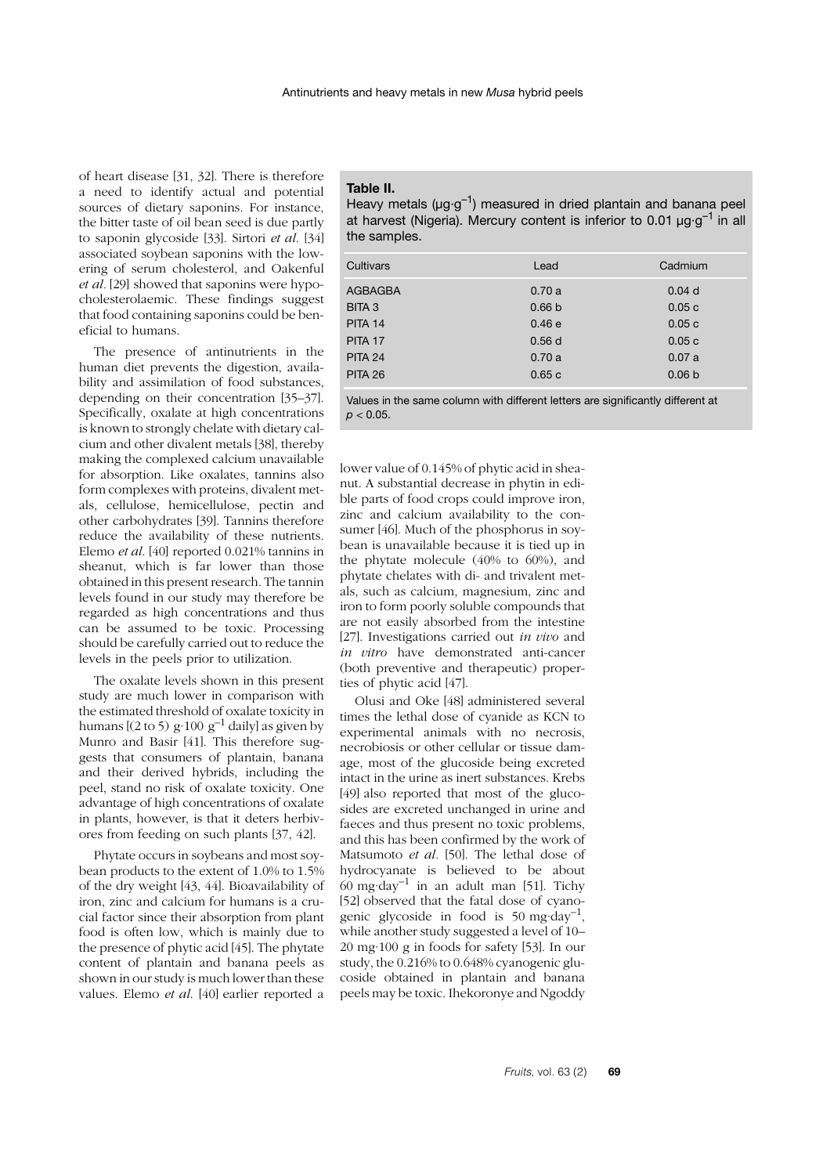of heart disease [31, 32]. There is therefore a need to identify actual and potential sources of dietary saponins. For instance, the bitter taste of oil bean seed is due partly to saponin glycoside [33]. Sirtori *et al*. [34] associated soybean saponins with the lowering of serum cholesterol, and Oakenful *et al.* [29] showed that saponins were hypocholesterolaemic. These findings suggest that food containing saponins could be beneficial to humans.

The presence of antinutrients in the human diet prevents the digestion, availability and assimilation of food substances, depending on their concentration [35–37]. Specifically, oxalate at high concentrations is known to strongly chelate with dietary calcium and other divalent metals [38], thereby making the complexed calcium unavailable for absorption. Like oxalates, tannins also form complexes with proteins, divalent metals, cellulose, hemicellulose, pectin and other carbohydrates [39]. Tannins therefore reduce the availability of these nutrients. Elemo *et al*. [40] reported 0.021% tannins in sheanut, which is far lower than those obtained in this present research. The tannin levels found in our study may therefore be regarded as high concentrations and thus can be assumed to be toxic. Processing should be carefully carried out to reduce the levels in the peels prior to utilization.

The oxalate levels shown in this present study are much lower in comparison with the estimated threshold of oxalate toxicity in humans  $[(2 \text{ to } 5) \text{ g} \cdot 100 \text{ g}^{-1} \text{ daily}]$  as given by Munro and Basir [41]. This therefore suggests that consumers of plantain, banana and their derived hybrids, including the peel, stand no risk of oxalate toxicity. One advantage of high concentrations of oxalate in plants, however, is that it deters herbivores from feeding on such plants [37, 42].

Phytate occurs in soybeans and most soybean products to the extent of 1.0% to 1.5% of the dry weight [43, 44]. Bioavailability of iron, zinc and calcium for humans is a crucial factor since their absorption from plant food is often low, which is mainly due to the presence of phytic acid [45]. The phytate content of plantain and banana peels as shown in our study is much lower than these values. Elemo *et al*. [40] earlier reported a

### **Table II.**

| Heavy metals ( $\mu$ g·g <sup>-1</sup> ) measured in dried plantain and banana peel |
|-------------------------------------------------------------------------------------|
| at harvest (Nigeria). Mercury content is inferior to 0.01 µg·g <sup>-1</sup> in all |
| the samples.                                                                        |

| Cultivars         | Lead              | Cadmium           |
|-------------------|-------------------|-------------------|
| <b>AGBAGBA</b>    | 0.70a             | $0.04$ d          |
| BITA <sub>3</sub> | 0.66 <sub>b</sub> | 0.05c             |
| <b>PITA 14</b>    | 0.46e             | 0.05c             |
| PITA 17           | 0.56d             | 0.05c             |
| <b>PITA 24</b>    | 0.70a             | 0.07a             |
| <b>PITA 26</b>    | 0.65c             | 0.06 <sub>b</sub> |

Values in the same column with different letters are significantly different at *p* < 0.05.

lower value of 0.145% of phytic acid in sheanut. A substantial decrease in phytin in edible parts of food crops could improve iron, zinc and calcium availability to the consumer [46]. Much of the phosphorus in soybean is unavailable because it is tied up in the phytate molecule (40% to 60%), and phytate chelates with di- and trivalent metals, such as calcium, magnesium, zinc and iron to form poorly soluble compounds that are not easily absorbed from the intestine [27]. Investigations carried out *in vivo* and *in vitro* have demonstrated anti-cancer (both preventive and therapeutic) properties of phytic acid [47].

Olusi and Oke [48] administered several times the lethal dose of cyanide as KCN to experimental animals with no necrosis, necrobiosis or other cellular or tissue damage, most of the glucoside being excreted intact in the urine as inert substances. Krebs [49] also reported that most of the glucosides are excreted unchanged in urine and faeces and thus present no toxic problems, and this has been confirmed by the work of Matsumoto *et al.* [50]. The lethal dose of hydrocyanate is believed to be about  $60 \text{ mg day}^{-1}$  in an adult man [51]. Tichy [52] observed that the fatal dose of cyanogenic glycoside in food is 50 mg·day<sup>-1</sup> while another study suggested a level of 10– 20 mg·100 g in foods for safety [53]. In our study, the 0.216% to 0.648% cyanogenic glucoside obtained in plantain and banana peels may be toxic. Ihekoronye and Ngoddy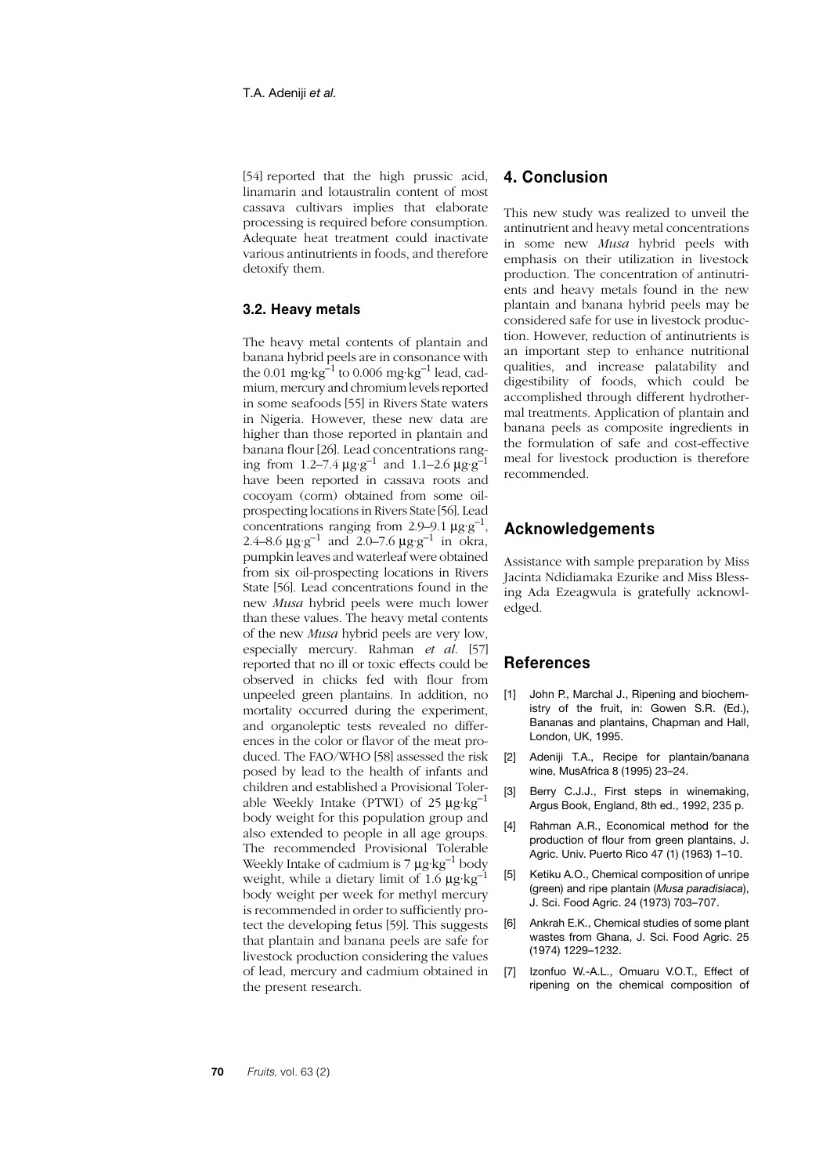[54] reported that the high prussic acid, linamarin and lotaustralin content of most cassava cultivars implies that elaborate processing is required before consumption. Adequate heat treatment could inactivate various antinutrients in foods, and therefore detoxify them.

**3.2. Heavy metals**

The heavy metal contents of plantain and banana hybrid peels are in consonance with the 0.01 mg·kg<sup>-1</sup> to 0.006 mg·kg<sup>-1</sup> lead, cadmium, mercury and chromium levels reported in some seafoods [55] in Rivers State waters in Nigeria. However, these new data are higher than those reported in plantain and banana flour [26]. Lead concentrations ranging from 1.2–7.4  $\mu$ g·g<sup>-1</sup> and 1.1–2.6  $\mu$ g·g<sup>-1</sup> have been reported in cassava roots and cocoyam (corm) obtained from some oilprospecting locations in Rivers State [56]. Lead concentrations ranging from 2.9–9.1  $\mu$ g·g<sup>-1</sup>, 2.4–8.6  $\mu$ g·g<sup>-1</sup> and 2.0–7.6  $\mu$ g·g<sup>-1</sup> in okra, pumpkin leaves and waterleaf were obtained from six oil-prospecting locations in Rivers State [56]. Lead concentrations found in the new *Musa* hybrid peels were much lower than these values. The heavy metal contents of the new *Musa* hybrid peels are very low, especially mercury. Rahman *et al*. [57] reported that no ill or toxic effects could be observed in chicks fed with flour from unpeeled green plantains. In addition, no mortality occurred during the experiment, and organoleptic tests revealed no differences in the color or flavor of the meat produced. The FAO/WHO [58] assessed the risk posed by lead to the health of infants and children and established a Provisional Tolerable Weekly Intake (PTWI) of 25  $\mu$ g·kg<sup>-1</sup> body weight for this population group and also extended to people in all age groups. The recommended Provisional Tolerable Weekly Intake of cadmium is 7  $\mu$ g·kg<sup>-1</sup> body weight, while a dietary limit of  $1.6 \mu$ g·kg<sup>-1</sup> body weight per week for methyl mercury is recommended in order to sufficiently protect the developing fetus [59]. This suggests that plantain and banana peels are safe for livestock production considering the values of lead, mercury and cadmium obtained in the present research.

## **4. Conclusion**

This new study was realized to unveil the antinutrient and heavy metal concentrations in some new *Musa* hybrid peels with emphasis on their utilization in livestock production. The concentration of antinutrients and heavy metals found in the new plantain and banana hybrid peels may be considered safe for use in livestock production. However, reduction of antinutrients is an important step to enhance nutritional qualities, and increase palatability and digestibility of foods, which could be accomplished through different hydrothermal treatments. Application of plantain and banana peels as composite ingredients in the formulation of safe and cost-effective meal for livestock production is therefore recommended.

## **Acknowledgements**

Assistance with sample preparation by Miss Jacinta Ndidiamaka Ezurike and Miss Blessing Ada Ezeagwula is gratefully acknowledged.

# **References**

- [1] John P., Marchal J., Ripening and biochemistry of the fruit, in: Gowen S.R. (Ed.), Bananas and plantains, Chapman and Hall, London, UK, 1995.
- [2] Adeniii T.A., Recipe for plantain/banana wine, MusAfrica 8 (1995) 23–24.
- [3] Berry C.J.J., First steps in winemaking, Argus Book, England, 8th ed., 1992, 235 p.
- [4] Rahman A.R., Economical method for the production of flour from green plantains, J. Agric. Univ. Puerto Rico 47 (1) (1963) 1–10.
- [5] Ketiku A.O., Chemical composition of unripe (green) and ripe plantain (*Musa paradisiaca*), J. Sci. Food Agric. 24 (1973) 703–707.
- [6] Ankrah E.K., Chemical studies of some plant wastes from Ghana, J. Sci. Food Agric. 25 (1974) 1229–1232.
- [7] Izonfuo W.-A.L., Omuaru V.O.T., Effect of ripening on the chemical composition of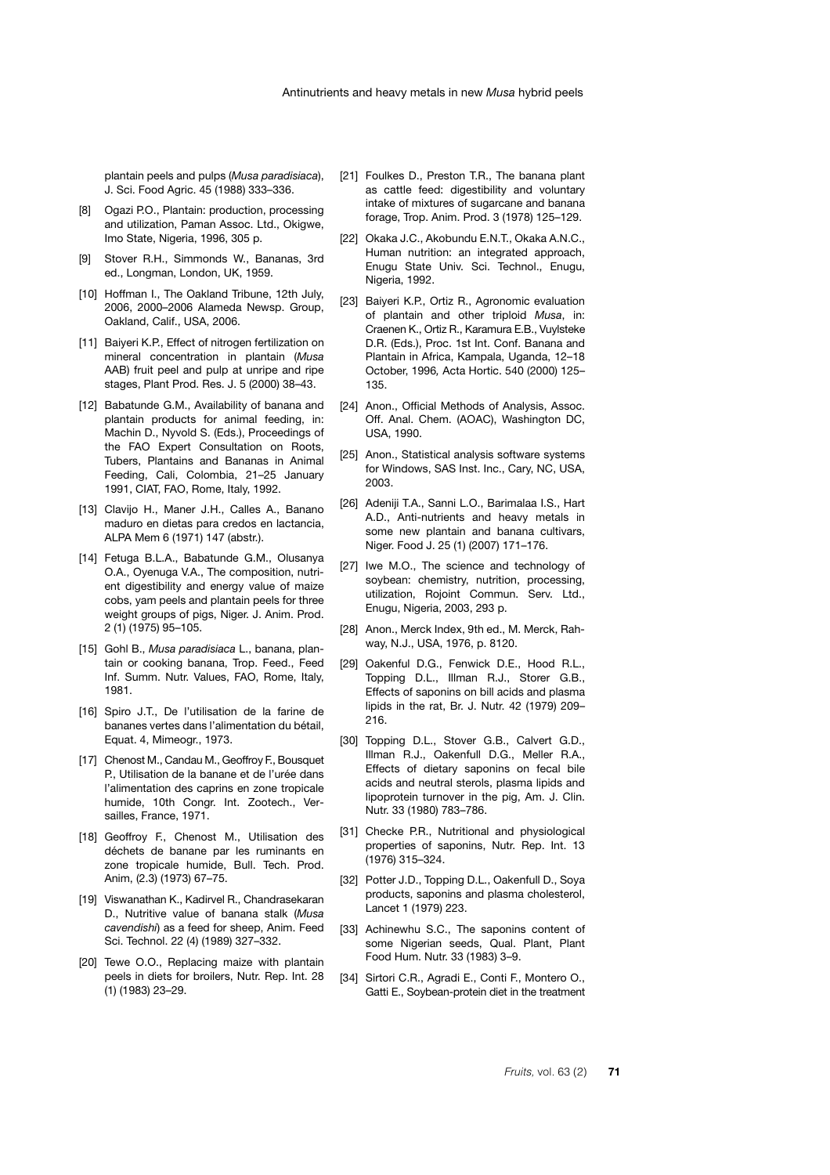plantain peels and pulps (*Musa paradisiaca*), J. Sci. Food Agric. 45 (1988) 333–336.

- [8] Ogazi P.O., Plantain: production, processing and utilization, Paman Assoc. Ltd., Okigwe, Imo State, Nigeria, 1996, 305 p.
- [9] Stover R.H., Simmonds W., Bananas, 3rd ed., Longman, London, UK, 1959.
- [10] Hoffman I., The Oakland Tribune, 12th July, 2006, 2000–2006 Alameda Newsp. Group, Oakland, Calif., USA, 2006.
- [11] Baiyeri K.P., Effect of nitrogen fertilization on mineral concentration in plantain (*Musa* AAB) fruit peel and pulp at unripe and ripe stages, Plant Prod. Res. J. 5 (2000) 38–43.
- [12] Babatunde G.M., Availability of banana and plantain products for animal feeding, in: Machin D., Nyvold S. (Eds.), Proceedings of the FAO Expert Consultation on Roots, Tubers, Plantains and Bananas in Animal Feeding, Cali, Colombia, 21–25 January 1991, CIAT, FAO, Rome, Italy, 1992.
- [13] Clavijo H., Maner J.H., Calles A., Banano maduro en dietas para credos en lactancia, ALPA Mem 6 (1971) 147 (abstr.).
- [14] Fetuga B.L.A., Babatunde G.M., Olusanya O.A., Oyenuga V.A., The composition, nutrient digestibility and energy value of maize cobs, yam peels and plantain peels for three weight groups of pigs, Niger. J. Anim. Prod. 2 (1) (1975) 95–105.
- [15] Gohl B., *Musa paradisiaca* L., banana, plantain or cooking banana, Trop. Feed., Feed Inf. Summ. Nutr. Values, FAO, Rome, Italy, 1981.
- [16] Spiro J.T., De l'utilisation de la farine de bananes vertes dans l'alimentation du bétail, Equat. 4, Mimeogr., 1973.
- [17] Chenost M., Candau M., Geoffroy F., Bousquet P., Utilisation de la banane et de l'urée dans l'alimentation des caprins en zone tropicale humide, 10th Congr. Int. Zootech., Versailles, France, 1971.
- [18] Geoffroy F., Chenost M., Utilisation des déchets de banane par les ruminants en zone tropicale humide, Bull. Tech. Prod. Anim, (2.3) (1973) 67–75.
- [19] Viswanathan K., Kadirvel R., Chandrasekaran D., Nutritive value of banana stalk (*Musa cavendishi*) as a feed for sheep, Anim. Feed Sci. Technol. 22 (4) (1989) 327–332.
- [20] Tewe O.O., Replacing maize with plantain peels in diets for broilers, Nutr. Rep. Int. 28 (1) (1983) 23–29.
- [21] Foulkes D., Preston T.R., The banana plant as cattle feed: digestibility and voluntary intake of mixtures of sugarcane and banana forage, Trop. Anim. Prod. 3 (1978) 125–129.
- [22] Okaka J.C., Akobundu E.N.T., Okaka A.N.C., Human nutrition: an integrated approach, Enugu State Univ. Sci. Technol., Enugu, Nigeria, 1992.
- [23] Baiyeri K.P., Ortiz R., Agronomic evaluation of plantain and other triploid *Musa*, in: Craenen K., Ortiz R., Karamura E.B., Vuylsteke D.R. (Eds.), Proc. 1st Int. Conf. Banana and Plantain in Africa, Kampala, Uganda, 12–18 October, 1996*,* Acta Hortic. 540 (2000) 125– 135.
- [24] Anon., Official Methods of Analysis, Assoc. Off. Anal. Chem. (AOAC), Washington DC, USA, 1990.
- [25] Anon., Statistical analysis software systems for Windows, SAS Inst. Inc., Cary, NC, USA, 2003.
- [26] Adeniji T.A., Sanni L.O., Barimalaa I.S., Hart A.D., Anti-nutrients and heavy metals in some new plantain and banana cultivars, Niger. Food J. 25 (1) (2007) 171–176.
- [27] Iwe M.O., The science and technology of soybean: chemistry, nutrition, processing, utilization, Rojoint Commun. Serv. Ltd., Enugu, Nigeria, 2003, 293 p.
- [28] Anon., Merck Index, 9th ed., M. Merck, Rahway, N.J., USA, 1976, p. 8120.
- [29] Oakenful D.G., Fenwick D.E., Hood R.L., Topping D.L., Illman R.J., Storer G.B., Effects of saponins on bill acids and plasma lipids in the rat, Br. J. Nutr. 42 (1979) 209– 216.
- [30] Topping D.L., Stover G.B., Calvert G.D., Illman R.J., Oakenfull D.G., Meller R.A., Effects of dietary saponins on fecal bile acids and neutral sterols, plasma lipids and lipoprotein turnover in the pig, Am. J. Clin. Nutr. 33 (1980) 783–786.
- [31] Checke P.R., Nutritional and physiological properties of saponins, Nutr. Rep. Int. 13 (1976) 315–324.
- [32] Potter J.D., Topping D.L., Oakenfull D., Soya products, saponins and plasma cholesterol, Lancet 1 (1979) 223.
- [33] Achinewhu S.C., The saponins content of some Nigerian seeds, Qual. Plant, Plant Food Hum. Nutr. 33 (1983) 3–9.
- [34] Sirtori C.R., Agradi E., Conti F., Montero O., Gatti E., Soybean-protein diet in the treatment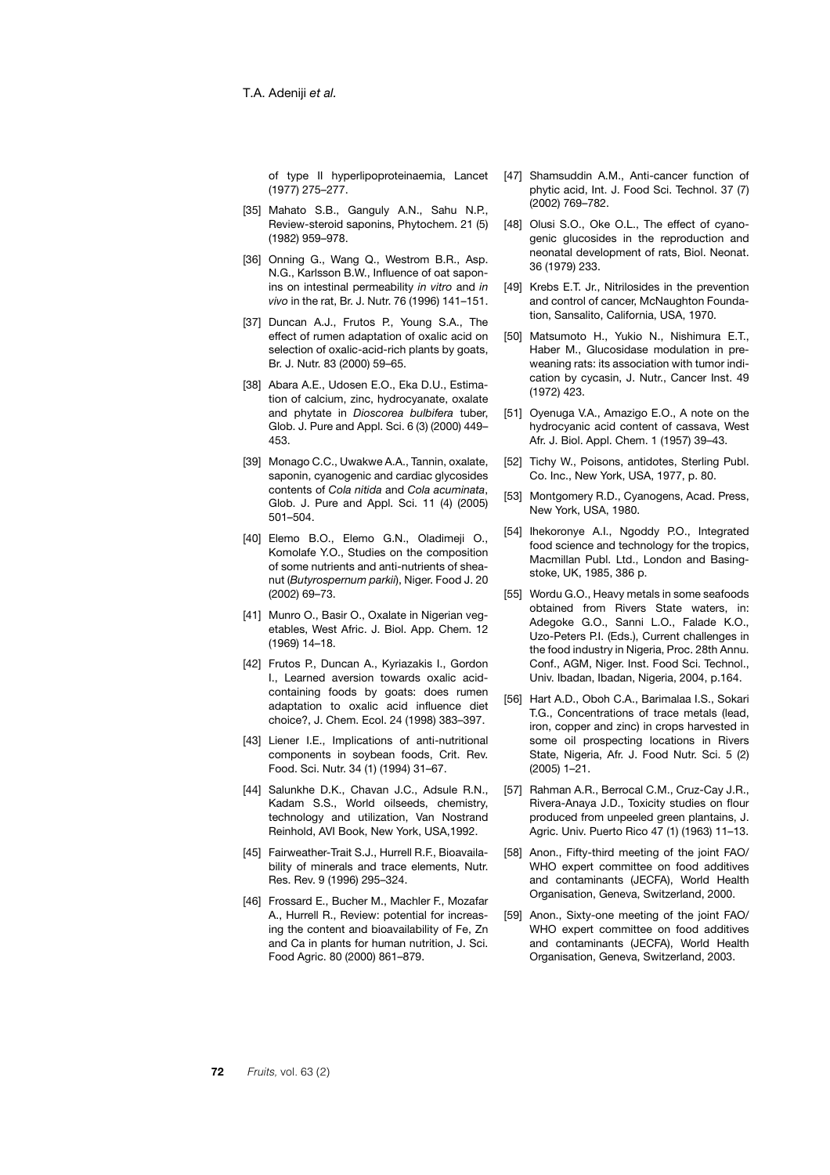of type II hyperlipoproteinaemia, Lancet (1977) 275–277.

- [35] Mahato S.B., Ganguly A.N., Sahu N.P. Review-steroid saponins, Phytochem. 21 (5) (1982) 959–978.
- [36] Onning G., Wang Q., Westrom B.R., Asp. N.G., Karlsson B.W., Influence of oat saponins on intestinal permeability *in vitro* and *in vivo* in the rat, Br. J. Nutr. 76 (1996) 141–151.
- [37] Duncan A.J., Frutos P., Young S.A., The effect of rumen adaptation of oxalic acid on selection of oxalic-acid-rich plants by goats, Br. J. Nutr. 83 (2000) 59–65.
- [38] Abara A.E., Udosen E.O., Eka D.U., Estimation of calcium, zinc, hydrocyanate, oxalate and phytate in *Dioscorea bulbifera* tuber, Glob. J. Pure and Appl. Sci. 6 (3) (2000) 449– 453.
- [39] Monago C.C., Uwakwe A.A., Tannin, oxalate, saponin, cyanogenic and cardiac glycosides contents of *Cola nitida* and *Cola acuminata*, Glob. J. Pure and Appl. Sci. 11 (4) (2005) 501–504.
- [40] Elemo B.O., Elemo G.N., Oladimeji O., Komolafe Y.O., Studies on the composition of some nutrients and anti-nutrients of sheanut (*Butyrospernum parkii*), Niger. Food J. 20 (2002) 69–73.
- [41] Munro O., Basir O., Oxalate in Nigerian vegetables, West Afric. J. Biol. App. Chem. 12 (1969) 14–18.
- [42] Frutos P., Duncan A., Kyriazakis I., Gordon I., Learned aversion towards oxalic acidcontaining foods by goats: does rumen adaptation to oxalic acid influence diet choice?, J. Chem. Ecol. 24 (1998) 383–397.
- [43] Liener I.E., Implications of anti-nutritional components in soybean foods, Crit. Rev. Food. Sci. Nutr. 34 (1) (1994) 31–67.
- [44] Salunkhe D.K., Chavan J.C., Adsule R.N., Kadam S.S., World oilseeds, chemistry, technology and utilization, Van Nostrand Reinhold, AVI Book, New York, USA,1992.
- [45] Fairweather-Trait S.J., Hurrell R.F., Bioavailability of minerals and trace elements. Nutr. Res. Rev. 9 (1996) 295–324.
- [46] Frossard E., Bucher M., Machler F., Mozafar A., Hurrell R., Review: potential for increasing the content and bioavailability of Fe, Zn and Ca in plants for human nutrition, J. Sci. Food Agric. 80 (2000) 861–879.
- [47] Shamsuddin A.M., Anti-cancer function of phytic acid, Int. J. Food Sci. Technol. 37 (7) (2002) 769–782.
- [48] Olusi S.O., Oke O.L., The effect of cyanogenic glucosides in the reproduction and neonatal development of rats, Biol. Neonat. 36 (1979) 233.
- [49] Krebs E.T. Jr., Nitrilosides in the prevention and control of cancer, McNaughton Foundation, Sansalito, California, USA, 1970.
- [50] Matsumoto H., Yukio N., Nishimura E.T., Haber M., Glucosidase modulation in preweaning rats: its association with tumor indication by cycasin, J. Nutr., Cancer Inst. 49 (1972) 423.
- [51] Oyenuga V.A., Amazigo E.O., A note on the hydrocyanic acid content of cassava, West Afr. J. Biol. Appl. Chem. 1 (1957) 39–43.
- [52] Tichy W., Poisons, antidotes, Sterling Publ. Co. Inc., New York, USA, 1977, p. 80.
- [53] Montgomery R.D., Cyanogens, Acad. Press, New York, USA, 1980.
- [54] Ihekoronye A.I., Ngoddy P.O., Integrated food science and technology for the tropics, Macmillan Publ. Ltd., London and Basingstoke, UK, 1985, 386 p.
- [55] Wordu G.O., Heavy metals in some seafoods obtained from Rivers State waters, in: Adegoke G.O., Sanni L.O., Falade K.O., Uzo-Peters P.I. (Eds.), Current challenges in the food industry in Nigeria, Proc. 28th Annu. Conf., AGM, Niger. Inst. Food Sci. Technol., Univ. Ibadan, Ibadan, Nigeria, 2004, p.164.
- [56] Hart A.D., Oboh C.A., Barimalaa I.S., Sokari T.G., Concentrations of trace metals (lead, iron, copper and zinc) in crops harvested in some oil prospecting locations in Rivers State, Nigeria, Afr. J. Food Nutr. Sci. 5 (2) (2005) 1–21.
- [57] Rahman A.R., Berrocal C.M., Cruz-Cay J.R., Rivera-Anaya J.D., Toxicity studies on flour produced from unpeeled green plantains, J. Agric. Univ. Puerto Rico 47 (1) (1963) 11–13.
- [58] Anon., Fifty-third meeting of the joint FAO/ WHO expert committee on food additives and contaminants (JECFA), World Health Organisation, Geneva, Switzerland, 2000.
- [59] Anon., Sixty-one meeting of the joint FAO/ WHO expert committee on food additives and contaminants (JECFA), World Health Organisation, Geneva, Switzerland, 2003.